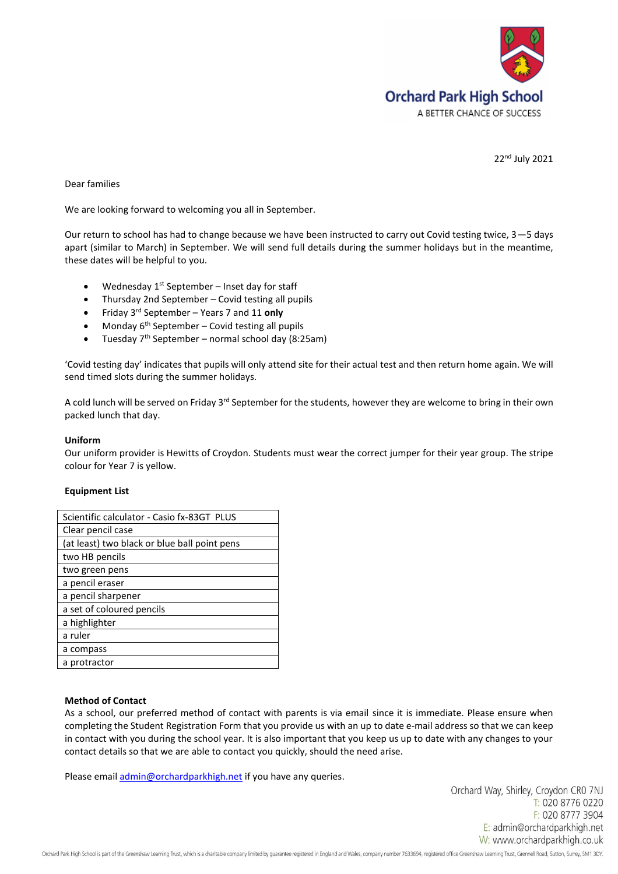

22nd July 2021

## Dear families

We are looking forward to welcoming you all in September.

Our return to school has had to change because we have been instructed to carry out Covid testing twice, 3—5 days apart (similar to March) in September. We will send full details during the summer holidays but in the meantime, these dates will be helpful to you.

- Wednesday  $1<sup>st</sup>$  September Inset day for staff
- Thursday 2nd September Covid testing all pupils
- Friday 3rd September Years 7 and 11 **only**
- Monday  $6<sup>th</sup>$  September Covid testing all pupils
- Tuesday 7th September normal school day (8:25am)

'Covid testing day' indicates that pupils will only attend site for their actual test and then return home again. We will send timed slots during the summer holidays.

A cold lunch will be served on Friday 3<sup>rd</sup> September for the students, however they are welcome to bring in their own packed lunch that day.

## **Uniform**

Our uniform provider is Hewitts of Croydon. Students must wear the correct jumper for their year group. The stripe colour for Year 7 is yellow.

## **Equipment List**

| Scientific calculator - Casio fx-83GT PLUS   |
|----------------------------------------------|
| Clear pencil case                            |
| (at least) two black or blue ball point pens |
| two HB pencils                               |
| two green pens                               |
| a pencil eraser                              |
| a pencil sharpener                           |
| a set of coloured pencils                    |
| a highlighter                                |
| a ruler                                      |
| a compass                                    |
| a protractor                                 |

## **Method of Contact**

As a school, our preferred method of contact with parents is via email since it is immediate. Please ensure when completing the Student Registration Form that you provide us with an up to date e-mail address so that we can keep in contact with you during the school year. It is also important that you keep us up to date with any changes to your contact details so that we are able to contact you quickly, should the need arise.

Please email *admin@orchardparkhigh.net* if you have any queries.

Orchard Way, Shirley, Croydon CR0 7NJ T: 020 8776 0220 F: 020 8777 3904 E: admin@orchardparkhigh.net W: www.orchardparkhigh.co.uk

Orchard Park High School is part of the Greenshaw Learning Trust, which is a charitable company limited by guarantee registered in England and Wales, company number 7633694, registered office Greenshaw Learning Trust, Gren